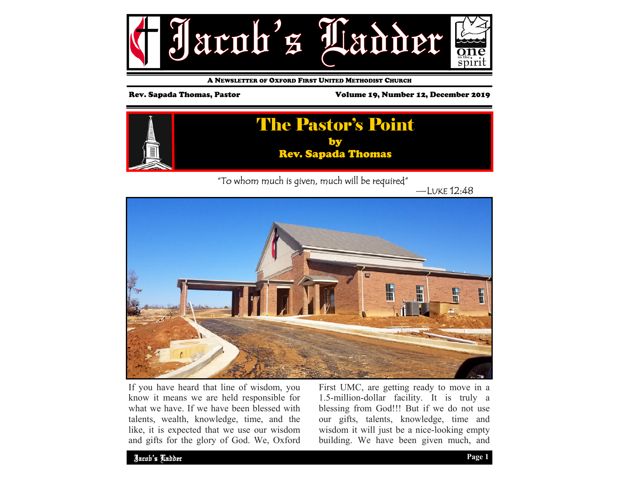

A NEWSLETTER OF OXFORD FIRST UNITED METHODIST CHURCH

Rev. Sapada Thomas, Pastor Volume 19, Number 12, December 2019



"To whom much is given, much will be required"

—LUKE 12:48



If you have heard that line of wisdom, you know it means we are held responsible for what we have. If we have been blessed with talents, wealth, knowledge, time, and the like, it is expected that we use our wisdom and gifts for the glory of God. We, Oxford First UMC, are getting ready to move in a 1.5-million-dollar facility. It is truly a blessing from God!!! But if we do not use our gifts, talents, knowledge, time and wisdom it will just be a nice-looking empty building. We have been given much, and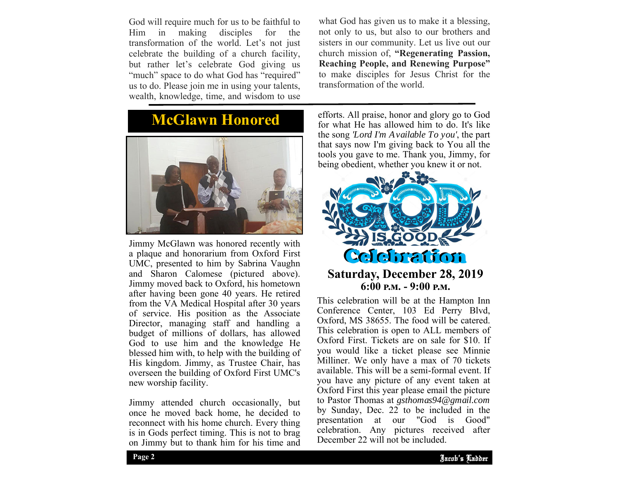God will require much for us to be faithful to Him in making disciples for the transformation of the world. Let's not just celebrate the building of a church facility, but rather let's celebrate God giving us "much" space to do what God has "required" us to do. Please join me in using your talents, wealth, knowledge, time, and wisdom to use

**McGlawn Honored** 



Jimmy McGlawn was honored recently with a plaque and honorarium from Oxford First UMC, presented to him by Sabrina Vaughn and Sharon Calomese (pictured above). Jimmy moved back to Oxford, his hometown after having been gone 40 years. He retired from the VA Medical Hospital after 30 years of service. His position as the Associate Director, managing staff and handling a budget of millions of dollars, has allowed God to use him and the knowledge He blessed him with, to help with the building of His kingdom. Jimmy, as Trustee Chair, has overseen the building of Oxford First UMC's new worship facility.

Jimmy attended church occasionally, but once he moved back home, he decided to reconnect with his home church. Every thing is in Gods perfect timing. This is not to brag on Jimmy but to thank him for his time and

what God has given us to make it a blessing, not only to us, but also to our brothers and sisters in our community. Let us live out our church mission of, **"Regenerating Passion, Reaching People, and Renewing Purpose"**  to make disciples for Jesus Christ for the transformation of the world.

efforts. All praise, honor and glory go to God for what He has allowed him to do. It's like the song *'Lord I'm Available To you'*, the part that says now I'm giving back to You all the tools you gave to me. Thank you, Jimmy, for being obedient, whether you knew it or not.



**6:00 ඉ.ආ. - 9:00 ඉ.ආ.** 

by Sunday, Dec. 22 to be included in the This celebration will be at the Hampton Inn Conference Center, 103 Ed Perry Blvd, Oxford, MS 38655. The food will be catered. This celebration is open to ALL members of Oxford First. Tickets are on sale for \$10. If you would like a ticket please see Minnie Milliner. We only have a max of 70 tickets available. This will be a semi-formal event. If you have any picture of any event taken at Oxford First this year please email the picture to Pastor Thomas at *gsthomas94@gmail.com*  presentation at our "God is Good" celebration. Any pictures received after December 22 will not be included.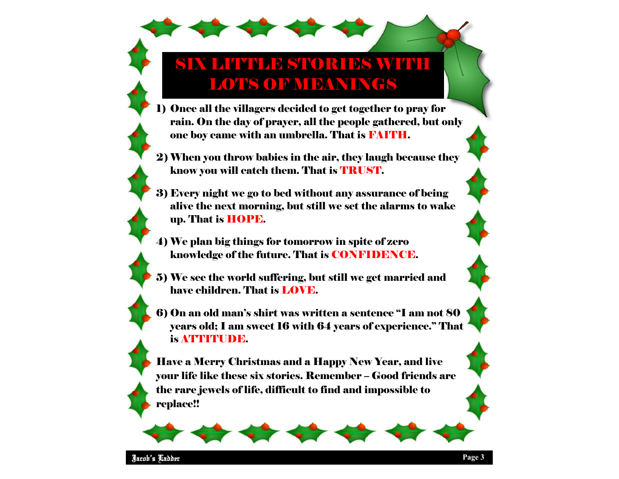## SIX LITTLE STORIES WITH LOTS OF MEANINGS

- 1) Once all the villagers decided to get together to pray for rain. On the day of prayer, all the people gathered, but only one boy came with an umbrella. That is FAITH.
- 2) When you throw babies in the air, they laugh because they know you will catch them. That is TRUST.
- 3) Every night we go to bed without any assurance of being alive the next morning, but still we set the alarms to wake up. That is HOPE.
- 4) We plan big things for tomorrow in spite of zero knowledge of the future. That is CONFIDENCE.
- 5) We see the world suffering, but still we get married and have children. That is LOVE.
- 6) On an old man's shirt was written a sentence "I am not 80 years old; I am sweet 16 with 64 years of experience." That is ATTITUDE.

Have a Merry Christmas and a Happy New Year, and live your life like these six stories. Remember – Good friends are the rare jewels of life, difficult to find and impossible to replace!!